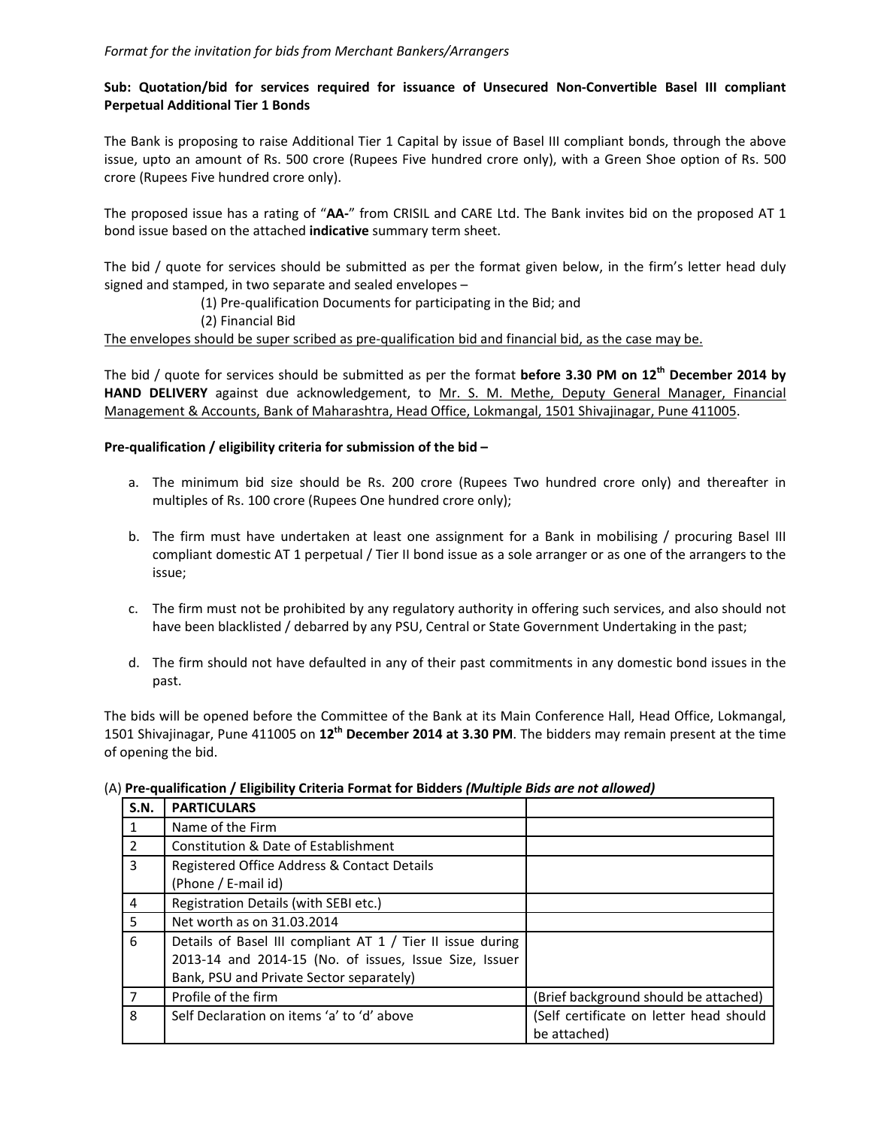## **Sub: Quotation/bid for services required for issuance of Unsecured Non‐Convertible Basel III compliant Perpetual Additional Tier 1 Bonds**

The Bank is proposing to raise Additional Tier 1 Capital by issue of Basel III compliant bonds, through the above issue, upto an amount of Rs. 500 crore (Rupees Five hundred crore only), with a Green Shoe option of Rs. 500 crore (Rupees Five hundred crore only).

The proposed issue has a rating of "**AA‐**" from CRISIL and CARE Ltd. The Bank invites bid on the proposed AT 1 bond issue based on the attached **indicative** summary term sheet.

The bid / quote for services should be submitted as per the format given below, in the firm's letter head duly signed and stamped, in two separate and sealed envelopes –

(1) Pre‐qualification Documents for participating in the Bid; and

(2) Financial Bid

The envelopes should be super scribed as pre‐qualification bid and financial bid, as the case may be.

The bid / quote for services should be submitted as per the format **before 3.30 PM on 12th December 2014 by HAND DELIVERY** against due acknowledgement, to Mr. S. M. Methe, Deputy General Manager, Financial Management & Accounts, Bank of Maharashtra, Head Office, Lokmangal, 1501 Shivajinagar, Pune 411005.

## **Pre‐qualification / eligibility criteria for submission of the bid –**

- a. The minimum bid size should be Rs. 200 crore (Rupees Two hundred crore only) and thereafter in multiples of Rs. 100 crore (Rupees One hundred crore only);
- b. The firm must have undertaken at least one assignment for a Bank in mobilising / procuring Basel III compliant domestic AT 1 perpetual / Tier II bond issue as a sole arranger or as one of the arrangers to the issue;
- c. The firm must not be prohibited by any regulatory authority in offering such services, and also should not have been blacklisted / debarred by any PSU, Central or State Government Undertaking in the past;
- d. The firm should not have defaulted in any of their past commitments in any domestic bond issues in the past.

The bids will be opened before the Committee of the Bank at its Main Conference Hall, Head Office, Lokmangal, 1501 Shivajinagar, Pune 411005 on **12th December 2014 at 3.30 PM**. The bidders may remain present at the time of opening the bid.

| S.N. | <b>PARTICULARS</b>                                         |                                         |
|------|------------------------------------------------------------|-----------------------------------------|
|      | Name of the Firm                                           |                                         |
| 2    | Constitution & Date of Establishment                       |                                         |
| 3    | Registered Office Address & Contact Details                |                                         |
|      | (Phone / E-mail id)                                        |                                         |
| 4    | Registration Details (with SEBI etc.)                      |                                         |
| 5.   | Net worth as on 31.03.2014                                 |                                         |
| 6    | Details of Basel III compliant AT 1 / Tier II issue during |                                         |
|      | 2013-14 and 2014-15 (No. of issues, Issue Size, Issuer     |                                         |
|      | Bank, PSU and Private Sector separately)                   |                                         |
|      | Profile of the firm                                        | (Brief background should be attached)   |
| 8    | Self Declaration on items 'a' to 'd' above                 | (Self certificate on letter head should |
|      |                                                            | be attached)                            |

(A) **Pre‐qualification / Eligibility Criteria Format for Bidders** *(Multiple Bids are not allowed)*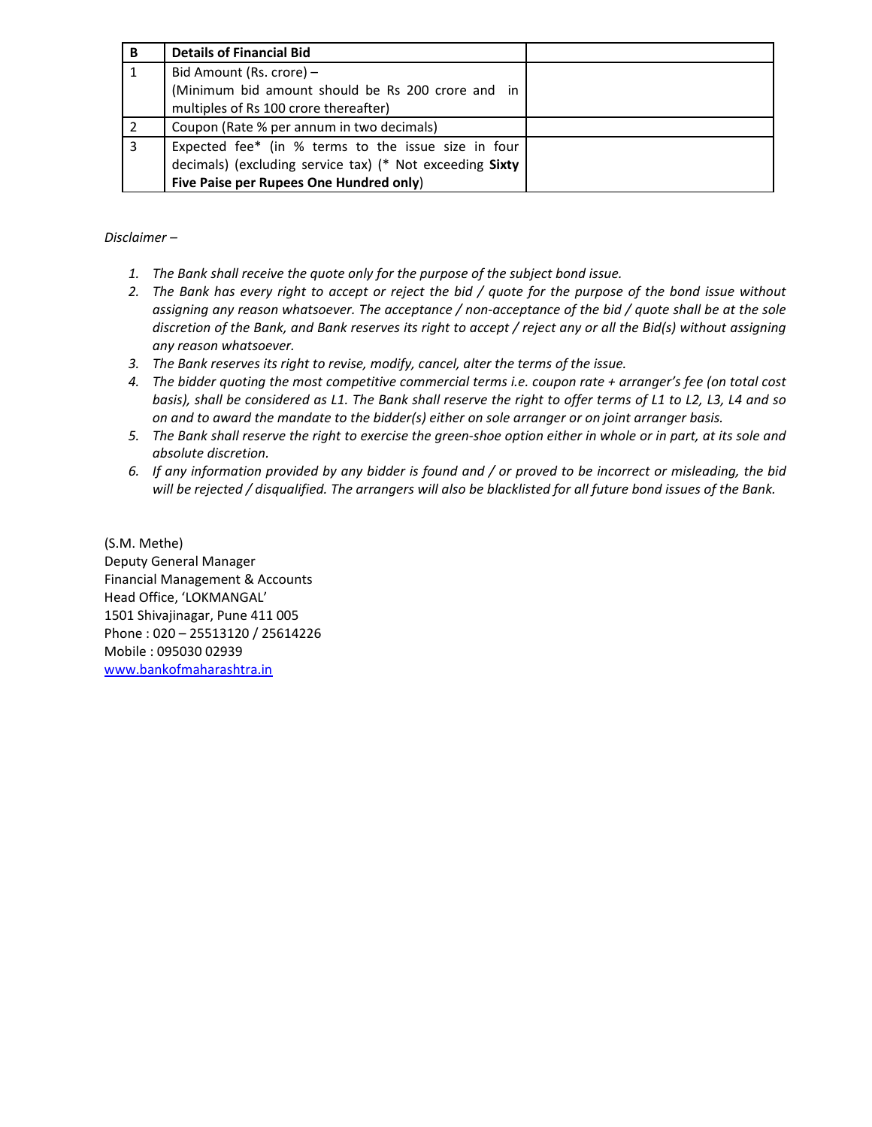| В | <b>Details of Financial Bid</b>                                                                                                                            |  |
|---|------------------------------------------------------------------------------------------------------------------------------------------------------------|--|
|   | Bid Amount (Rs. crore) -                                                                                                                                   |  |
|   | (Minimum bid amount should be Rs 200 crore and in<br>multiples of Rs 100 crore thereafter)                                                                 |  |
|   | Coupon (Rate % per annum in two decimals)                                                                                                                  |  |
|   | Expected fee* (in % terms to the issue size in four<br>decimals) (excluding service tax) (* Not exceeding Sixty<br>Five Paise per Rupees One Hundred only) |  |

*Disclaimer –* 

- *1. The Bank shall receive the quote only for the purpose of the subject bond issue.*
- 2. The Bank has every right to accept or reject the bid / quote for the purpose of the bond issue without assigning any reason whatsoever. The acceptance / non-acceptance of the bid / quote shall be at the sole discretion of the Bank, and Bank reserves its right to accept / reject any or all the Bid(s) without assigning *any reason whatsoever.*
- *3. The Bank reserves its right to revise, modify, cancel, alter the terms of the issue.*
- 4. The bidder quoting the most competitive commercial terms i.e. coupon rate + arranger's fee (on total cost basis), shall be considered as L1. The Bank shall reserve the right to offer terms of L1 to L2, L3, L4 and so *on and to award the mandate to the bidder(s) either on sole arranger or on joint arranger basis.*
- 5. The Bank shall reserve the right to exercise the green-shoe option either in whole or in part, at its sole and *absolute discretion.*
- 6. If any information provided by any bidder is found and / or proved to be incorrect or misleading, the bid will be rejected / disqualified. The arrangers will also be blacklisted for all future bond issues of the Bank.

(S.M. Methe) Deputy General Manager Financial Management & Accounts Head Office, 'LOKMANGAL' 1501 Shivajinagar, Pune 411 005 Phone : 020 – 25513120 / 25614226 Mobile : 095030 02939 www.bankofmaharashtra.in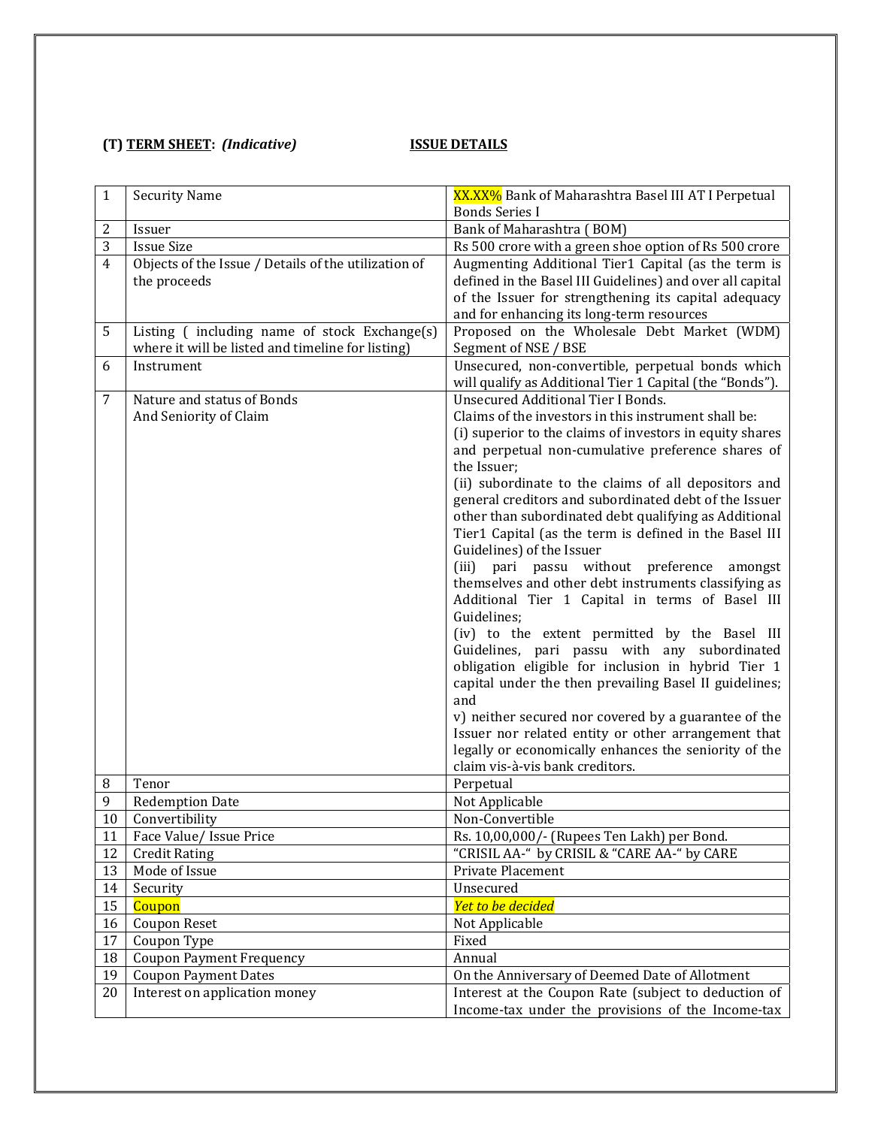## **(T) TERM SHEET:** *(Indicative)*  **ISSUE DETAILS**

| $\mathbf{1}$   | <b>Security Name</b>                                 | XX.XX% Bank of Maharashtra Basel III AT I Perpetual       |
|----------------|------------------------------------------------------|-----------------------------------------------------------|
|                |                                                      | <b>Bonds Series I</b>                                     |
| 2              | Issuer                                               | Bank of Maharashtra (BOM)                                 |
| 3              | <b>Issue Size</b>                                    | Rs 500 crore with a green shoe option of Rs 500 crore     |
| $\overline{4}$ | Objects of the Issue / Details of the utilization of | Augmenting Additional Tier1 Capital (as the term is       |
|                | the proceeds                                         | defined in the Basel III Guidelines) and over all capital |
|                |                                                      | of the Issuer for strengthening its capital adequacy      |
|                |                                                      | and for enhancing its long-term resources                 |
| 5              | Listing (including name of stock Exchange(s)         | Proposed on the Wholesale Debt Market (WDM)               |
|                | where it will be listed and timeline for listing)    | Segment of NSE / BSE                                      |
| 6              | Instrument                                           | Unsecured, non-convertible, perpetual bonds which         |
|                |                                                      | will qualify as Additional Tier 1 Capital (the "Bonds").  |
| 7              | Nature and status of Bonds                           | <b>Unsecured Additional Tier I Bonds.</b>                 |
|                | And Seniority of Claim                               | Claims of the investors in this instrument shall be:      |
|                |                                                      | (i) superior to the claims of investors in equity shares  |
|                |                                                      | and perpetual non-cumulative preference shares of         |
|                |                                                      | the Issuer;                                               |
|                |                                                      | (ii) subordinate to the claims of all depositors and      |
|                |                                                      | general creditors and subordinated debt of the Issuer     |
|                |                                                      | other than subordinated debt qualifying as Additional     |
|                |                                                      | Tier1 Capital (as the term is defined in the Basel III    |
|                |                                                      | Guidelines) of the Issuer                                 |
|                |                                                      | (iii) pari passu without preference<br>amongst            |
|                |                                                      | themselves and other debt instruments classifying as      |
|                |                                                      | Additional Tier 1 Capital in terms of Basel III           |
|                |                                                      | Guidelines;                                               |
|                |                                                      | (iv) to the extent permitted by the Basel III             |
|                |                                                      | Guidelines, pari passu with any subordinated              |
|                |                                                      | obligation eligible for inclusion in hybrid Tier 1        |
|                |                                                      | capital under the then prevailing Basel II guidelines;    |
|                |                                                      | and                                                       |
|                |                                                      | v) neither secured nor covered by a guarantee of the      |
|                |                                                      | Issuer nor related entity or other arrangement that       |
|                |                                                      | legally or economically enhances the seniority of the     |
|                |                                                      | claim vis-à-vis bank creditors.                           |
| 8              | Tenor                                                | Perpetual                                                 |
| 9              | <b>Redemption Date</b>                               | Not Applicable                                            |
| 10             | Convertibility                                       | Non-Convertible                                           |
| 11             | Face Value/ Issue Price                              | Rs. 10,00,000/- (Rupees Ten Lakh) per Bond.               |
| 12             | <b>Credit Rating</b>                                 | "CRISIL AA-" by CRISIL & "CARE AA-" by CARE               |
| 13             | Mode of Issue                                        | Private Placement                                         |
| 14             | Security                                             | Unsecured                                                 |
| 15             | Coupon                                               | Yet to be decided                                         |
| 16             | <b>Coupon Reset</b>                                  | Not Applicable                                            |
| 17             | Coupon Type                                          | Fixed                                                     |
| 18             | <b>Coupon Payment Frequency</b>                      | Annual                                                    |
| 19             | <b>Coupon Payment Dates</b>                          | On the Anniversary of Deemed Date of Allotment            |
| 20             | Interest on application money                        | Interest at the Coupon Rate (subject to deduction of      |
|                |                                                      | Income-tax under the provisions of the Income-tax         |
|                |                                                      |                                                           |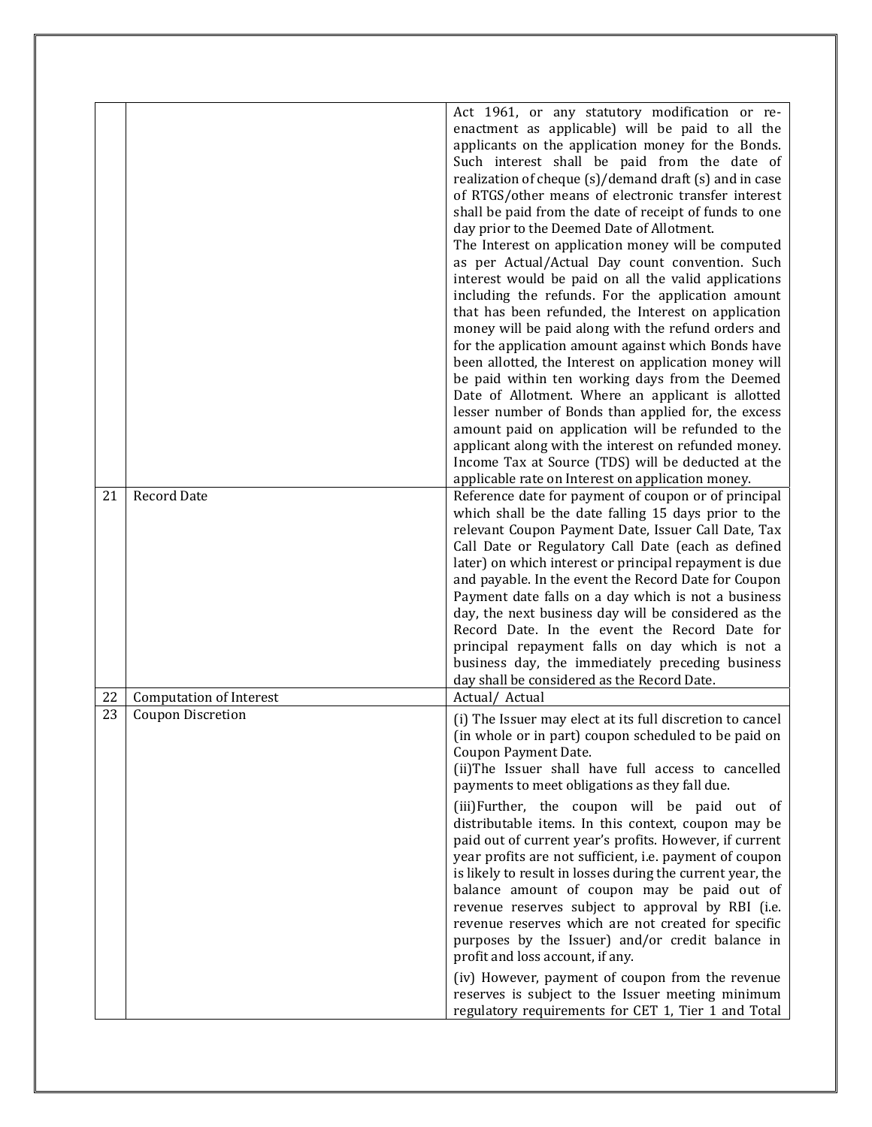|          |                                                            | Act 1961, or any statutory modification or re-<br>enactment as applicable) will be paid to all the<br>applicants on the application money for the Bonds.<br>Such interest shall be paid from the date of<br>realization of cheque (s)/demand draft (s) and in case<br>of RTGS/other means of electronic transfer interest<br>shall be paid from the date of receipt of funds to one<br>day prior to the Deemed Date of Allotment.<br>The Interest on application money will be computed<br>as per Actual/Actual Day count convention. Such<br>interest would be paid on all the valid applications<br>including the refunds. For the application amount<br>that has been refunded, the Interest on application<br>money will be paid along with the refund orders and<br>for the application amount against which Bonds have<br>been allotted, the Interest on application money will<br>be paid within ten working days from the Deemed<br>Date of Allotment. Where an applicant is allotted<br>lesser number of Bonds than applied for, the excess<br>amount paid on application will be refunded to the |
|----------|------------------------------------------------------------|------------------------------------------------------------------------------------------------------------------------------------------------------------------------------------------------------------------------------------------------------------------------------------------------------------------------------------------------------------------------------------------------------------------------------------------------------------------------------------------------------------------------------------------------------------------------------------------------------------------------------------------------------------------------------------------------------------------------------------------------------------------------------------------------------------------------------------------------------------------------------------------------------------------------------------------------------------------------------------------------------------------------------------------------------------------------------------------------------------|
|          |                                                            | applicant along with the interest on refunded money.<br>Income Tax at Source (TDS) will be deducted at the                                                                                                                                                                                                                                                                                                                                                                                                                                                                                                                                                                                                                                                                                                                                                                                                                                                                                                                                                                                                 |
| 21       | <b>Record Date</b>                                         | applicable rate on Interest on application money.<br>Reference date for payment of coupon or of principal<br>which shall be the date falling 15 days prior to the<br>relevant Coupon Payment Date, Issuer Call Date, Tax<br>Call Date or Regulatory Call Date (each as defined<br>later) on which interest or principal repayment is due<br>and payable. In the event the Record Date for Coupon<br>Payment date falls on a day which is not a business<br>day, the next business day will be considered as the<br>Record Date. In the event the Record Date for<br>principal repayment falls on day which is not a<br>business day, the immediately preceding business<br>day shall be considered as the Record Date.                                                                                                                                                                                                                                                                                                                                                                                     |
| 22<br>23 | <b>Computation of Interest</b><br><b>Coupon Discretion</b> | Actual/ Actual<br>(i) The Issuer may elect at its full discretion to cancel<br>(in whole or in part) coupon scheduled to be paid on<br>Coupon Payment Date.<br>(ii)The Issuer shall have full access to cancelled<br>payments to meet obligations as they fall due.<br>(iii)Further, the coupon will be paid out of<br>distributable items. In this context, coupon may be<br>paid out of current year's profits. However, if current<br>year profits are not sufficient, i.e. payment of coupon<br>is likely to result in losses during the current year, the<br>balance amount of coupon may be paid out of<br>revenue reserves subject to approval by RBI (i.e.<br>revenue reserves which are not created for specific<br>purposes by the Issuer) and/or credit balance in<br>profit and loss account, if any.<br>(iv) However, payment of coupon from the revenue<br>reserves is subject to the Issuer meeting minimum<br>regulatory requirements for CET 1, Tier 1 and Total                                                                                                                          |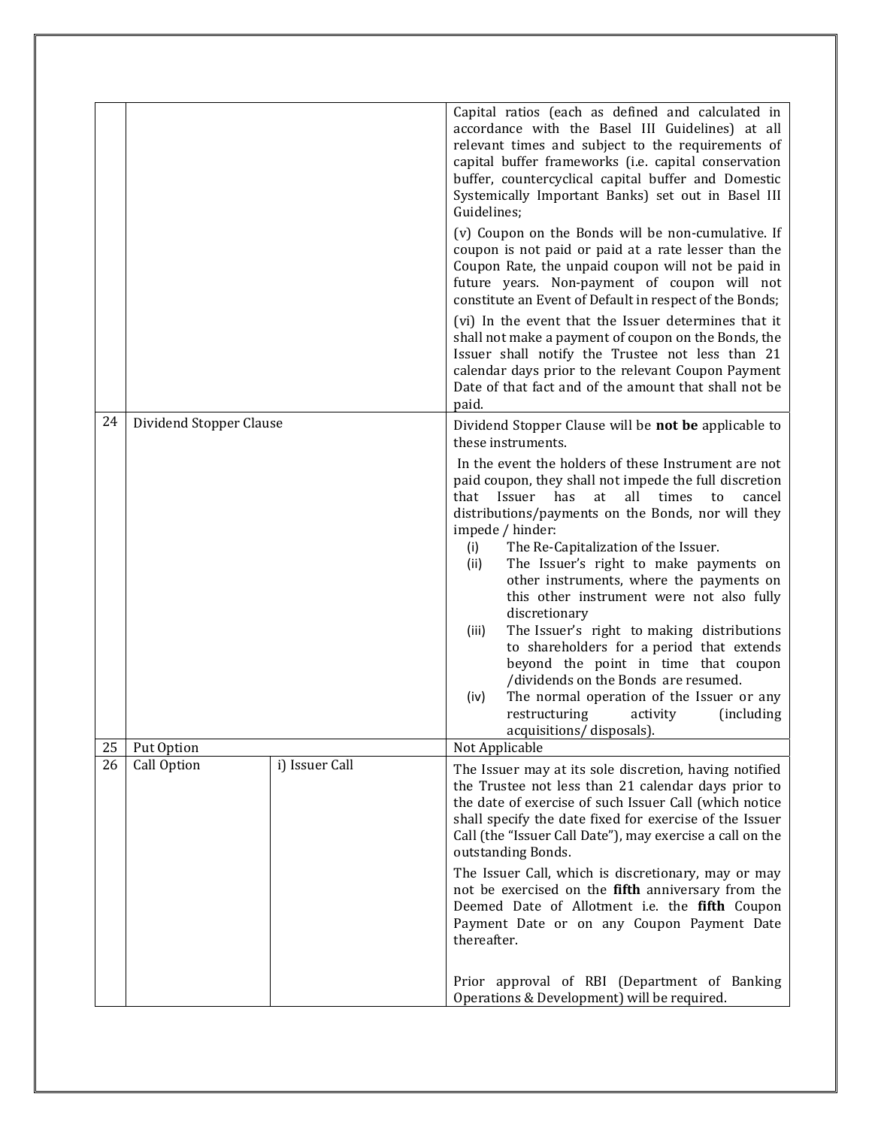|    |                         |                | Capital ratios (each as defined and calculated in                                                                                                                                                                                                                                                                                                                                                                                                                                                                               |
|----|-------------------------|----------------|---------------------------------------------------------------------------------------------------------------------------------------------------------------------------------------------------------------------------------------------------------------------------------------------------------------------------------------------------------------------------------------------------------------------------------------------------------------------------------------------------------------------------------|
|    |                         |                | accordance with the Basel III Guidelines) at all<br>relevant times and subject to the requirements of<br>capital buffer frameworks (i.e. capital conservation<br>buffer, countercyclical capital buffer and Domestic<br>Systemically Important Banks) set out in Basel III<br>Guidelines;                                                                                                                                                                                                                                       |
|    |                         |                | (v) Coupon on the Bonds will be non-cumulative. If<br>coupon is not paid or paid at a rate lesser than the<br>Coupon Rate, the unpaid coupon will not be paid in<br>future years. Non-payment of coupon will not<br>constitute an Event of Default in respect of the Bonds;                                                                                                                                                                                                                                                     |
|    |                         |                | (vi) In the event that the Issuer determines that it<br>shall not make a payment of coupon on the Bonds, the<br>Issuer shall notify the Trustee not less than 21<br>calendar days prior to the relevant Coupon Payment<br>Date of that fact and of the amount that shall not be<br>paid.                                                                                                                                                                                                                                        |
| 24 | Dividend Stopper Clause |                | Dividend Stopper Clause will be not be applicable to<br>these instruments.                                                                                                                                                                                                                                                                                                                                                                                                                                                      |
|    |                         |                | In the event the holders of these Instrument are not<br>paid coupon, they shall not impede the full discretion<br>that Issuer<br>has<br>all<br>at<br>times<br>to<br>cancel<br>distributions/payments on the Bonds, nor will they<br>impede / hinder:                                                                                                                                                                                                                                                                            |
|    |                         |                | The Re-Capitalization of the Issuer.<br>(i)<br>The Issuer's right to make payments on<br>(ii)<br>other instruments, where the payments on<br>this other instrument were not also fully<br>discretionary<br>The Issuer's right to making distributions<br>(iii)<br>to shareholders for a period that extends<br>beyond the point in time that coupon<br>/dividends on the Bonds are resumed.<br>The normal operation of the Issuer or any<br>(iv)<br>restructuring<br><i>(including)</i><br>activity<br>acquisitions/disposals). |
| 25 | Put Option              |                | Not Applicable                                                                                                                                                                                                                                                                                                                                                                                                                                                                                                                  |
| 26 | Call Option             | i) Issuer Call | The Issuer may at its sole discretion, having notified<br>the Trustee not less than 21 calendar days prior to<br>the date of exercise of such Issuer Call (which notice<br>shall specify the date fixed for exercise of the Issuer<br>Call (the "Issuer Call Date"), may exercise a call on the<br>outstanding Bonds.                                                                                                                                                                                                           |
|    |                         |                | The Issuer Call, which is discretionary, may or may<br>not be exercised on the fifth anniversary from the<br>Deemed Date of Allotment i.e. the fifth Coupon<br>Payment Date or on any Coupon Payment Date<br>thereafter.                                                                                                                                                                                                                                                                                                        |
|    |                         |                | Prior approval of RBI (Department of Banking<br>Operations & Development) will be required.                                                                                                                                                                                                                                                                                                                                                                                                                                     |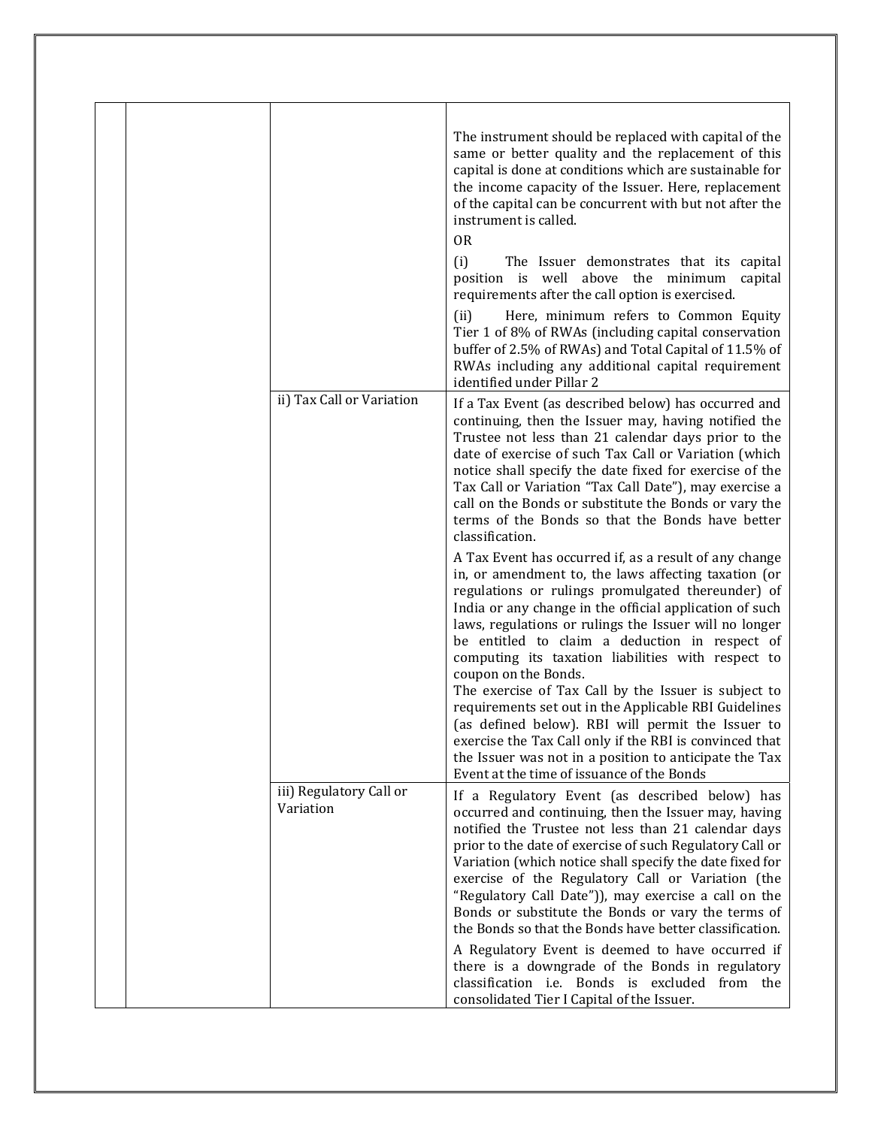|  |                                      | The instrument should be replaced with capital of the<br>same or better quality and the replacement of this<br>capital is done at conditions which are sustainable for<br>the income capacity of the Issuer. Here, replacement<br>of the capital can be concurrent with but not after the<br>instrument is called.<br>0 <sub>R</sub><br>(i)<br>The Issuer demonstrates that its capital<br>position is well above the minimum<br>capital<br>requirements after the call option is exercised.<br>Here, minimum refers to Common Equity<br>(ii)<br>Tier 1 of 8% of RWAs (including capital conservation<br>buffer of 2.5% of RWAs) and Total Capital of 11.5% of<br>RWAs including any additional capital requirement<br>identified under Pillar 2                  |
|--|--------------------------------------|-------------------------------------------------------------------------------------------------------------------------------------------------------------------------------------------------------------------------------------------------------------------------------------------------------------------------------------------------------------------------------------------------------------------------------------------------------------------------------------------------------------------------------------------------------------------------------------------------------------------------------------------------------------------------------------------------------------------------------------------------------------------|
|  | ii) Tax Call or Variation            | If a Tax Event (as described below) has occurred and<br>continuing, then the Issuer may, having notified the<br>Trustee not less than 21 calendar days prior to the<br>date of exercise of such Tax Call or Variation (which<br>notice shall specify the date fixed for exercise of the<br>Tax Call or Variation "Tax Call Date"), may exercise a<br>call on the Bonds or substitute the Bonds or vary the<br>terms of the Bonds so that the Bonds have better<br>classification.                                                                                                                                                                                                                                                                                 |
|  |                                      | A Tax Event has occurred if, as a result of any change<br>in, or amendment to, the laws affecting taxation (or<br>regulations or rulings promulgated thereunder) of<br>India or any change in the official application of such<br>laws, regulations or rulings the Issuer will no longer<br>be entitled to claim a deduction in respect of<br>computing its taxation liabilities with respect to<br>coupon on the Bonds.<br>The exercise of Tax Call by the Issuer is subject to<br>requirements set out in the Applicable RBI Guidelines<br>(as defined below). RBI will permit the Issuer to<br>exercise the Tax Call only if the RBI is convinced that<br>the Issuer was not in a position to anticipate the Tax<br>Event at the time of issuance of the Bonds |
|  | iii) Regulatory Call or<br>Variation | If a Regulatory Event (as described below) has<br>occurred and continuing, then the Issuer may, having<br>notified the Trustee not less than 21 calendar days<br>prior to the date of exercise of such Regulatory Call or<br>Variation (which notice shall specify the date fixed for<br>exercise of the Regulatory Call or Variation (the<br>"Regulatory Call Date")), may exercise a call on the<br>Bonds or substitute the Bonds or vary the terms of<br>the Bonds so that the Bonds have better classification.<br>A Regulatory Event is deemed to have occurred if<br>there is a downgrade of the Bonds in regulatory<br>classification i.e. Bonds is excluded from the<br>consolidated Tier I Capital of the Issuer.                                        |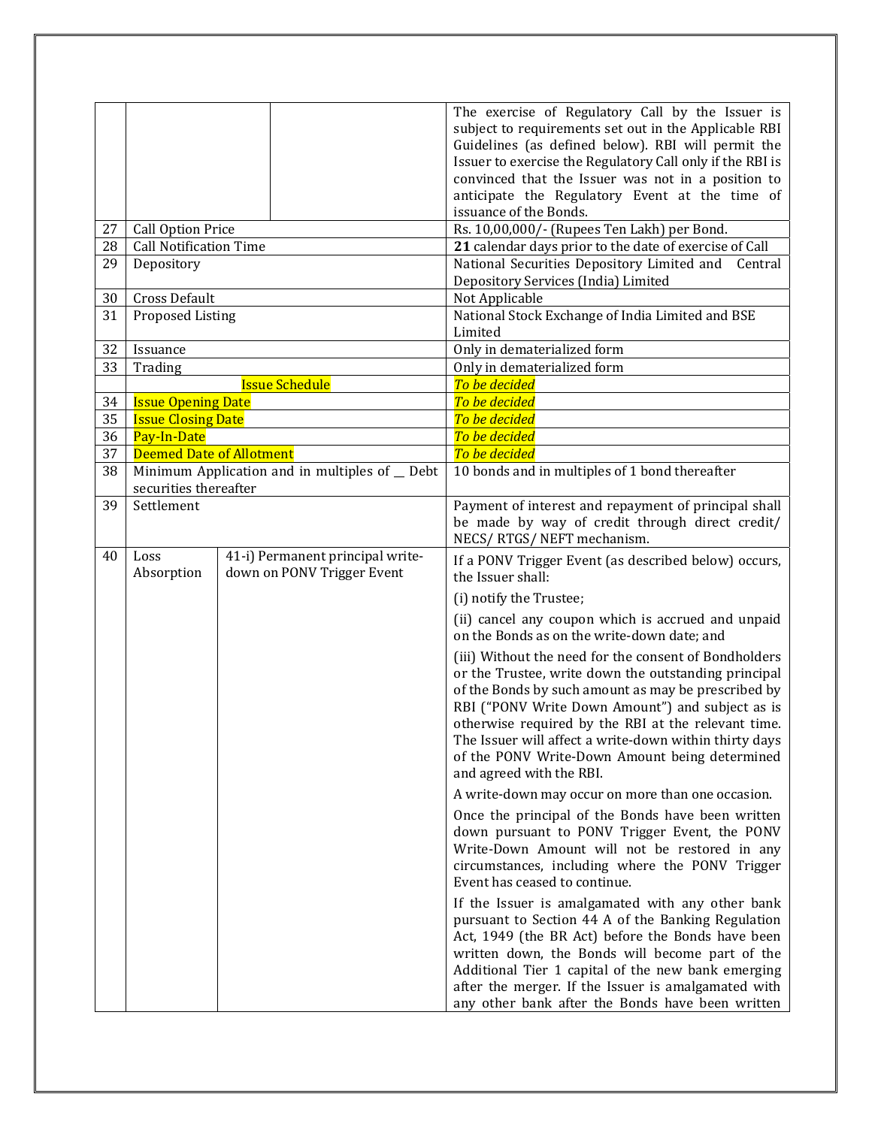| 27<br>28 | <b>Call Option Price</b><br><b>Call Notification Time</b> |                                                                | The exercise of Regulatory Call by the Issuer is<br>subject to requirements set out in the Applicable RBI<br>Guidelines (as defined below). RBI will permit the<br>Issuer to exercise the Regulatory Call only if the RBI is<br>convinced that the Issuer was not in a position to<br>anticipate the Regulatory Event at the time of<br>issuance of the Bonds.<br>Rs. 10,00,000/- (Rupees Ten Lakh) per Bond.<br>21 calendar days prior to the date of exercise of Call |
|----------|-----------------------------------------------------------|----------------------------------------------------------------|-------------------------------------------------------------------------------------------------------------------------------------------------------------------------------------------------------------------------------------------------------------------------------------------------------------------------------------------------------------------------------------------------------------------------------------------------------------------------|
| 29       | Depository                                                |                                                                | National Securities Depository Limited and<br>Central                                                                                                                                                                                                                                                                                                                                                                                                                   |
|          |                                                           |                                                                | Depository Services (India) Limited                                                                                                                                                                                                                                                                                                                                                                                                                                     |
| 30       | Cross Default                                             |                                                                | Not Applicable                                                                                                                                                                                                                                                                                                                                                                                                                                                          |
| 31       | Proposed Listing                                          |                                                                | National Stock Exchange of India Limited and BSE<br>Limited                                                                                                                                                                                                                                                                                                                                                                                                             |
| 32       | Issuance                                                  |                                                                | Only in dematerialized form                                                                                                                                                                                                                                                                                                                                                                                                                                             |
| 33       | Trading                                                   |                                                                | Only in dematerialized form                                                                                                                                                                                                                                                                                                                                                                                                                                             |
|          |                                                           | <b>Issue Schedule</b>                                          | To be decided                                                                                                                                                                                                                                                                                                                                                                                                                                                           |
| 34<br>35 | <b>Issue Opening Date</b>                                 |                                                                | To be decided                                                                                                                                                                                                                                                                                                                                                                                                                                                           |
| 36       | <b>Issue Closing Date</b><br>Pay-In-Date                  |                                                                | To be decided<br>To be decided                                                                                                                                                                                                                                                                                                                                                                                                                                          |
| 37       | <b>Deemed Date of Allotment</b>                           |                                                                | To be decided                                                                                                                                                                                                                                                                                                                                                                                                                                                           |
| 38       |                                                           | Minimum Application and in multiples of _ Debt                 | 10 bonds and in multiples of 1 bond thereafter                                                                                                                                                                                                                                                                                                                                                                                                                          |
|          | securities thereafter                                     |                                                                |                                                                                                                                                                                                                                                                                                                                                                                                                                                                         |
| 39       | Settlement                                                |                                                                | Payment of interest and repayment of principal shall<br>be made by way of credit through direct credit/<br>NECS/RTGS/NEFT mechanism.                                                                                                                                                                                                                                                                                                                                    |
| 40       | Loss<br>Absorption                                        | 41-i) Permanent principal write-<br>down on PONV Trigger Event | If a PONV Trigger Event (as described below) occurs,<br>the Issuer shall:                                                                                                                                                                                                                                                                                                                                                                                               |
|          |                                                           |                                                                | (i) notify the Trustee;                                                                                                                                                                                                                                                                                                                                                                                                                                                 |
|          |                                                           |                                                                | (ii) cancel any coupon which is accrued and unpaid<br>on the Bonds as on the write-down date; and                                                                                                                                                                                                                                                                                                                                                                       |
|          |                                                           |                                                                | (iii) Without the need for the consent of Bondholders<br>or the Trustee, write down the outstanding principal<br>of the Bonds by such amount as may be prescribed by<br>RBI ("PONV Write Down Amount") and subject as is<br>otherwise required by the RBI at the relevant time.<br>The Issuer will affect a write-down within thirty days<br>of the PONV Write-Down Amount being determined<br>and agreed with the RBI.                                                 |
|          |                                                           |                                                                | A write-down may occur on more than one occasion.                                                                                                                                                                                                                                                                                                                                                                                                                       |
|          |                                                           |                                                                | Once the principal of the Bonds have been written<br>down pursuant to PONV Trigger Event, the PONV<br>Write-Down Amount will not be restored in any<br>circumstances, including where the PONV Trigger<br>Event has ceased to continue.                                                                                                                                                                                                                                 |
|          |                                                           |                                                                | If the Issuer is amalgamated with any other bank<br>pursuant to Section 44 A of the Banking Regulation<br>Act, 1949 (the BR Act) before the Bonds have been<br>written down, the Bonds will become part of the<br>Additional Tier 1 capital of the new bank emerging<br>after the merger. If the Issuer is amalgamated with<br>any other bank after the Bonds have been written                                                                                         |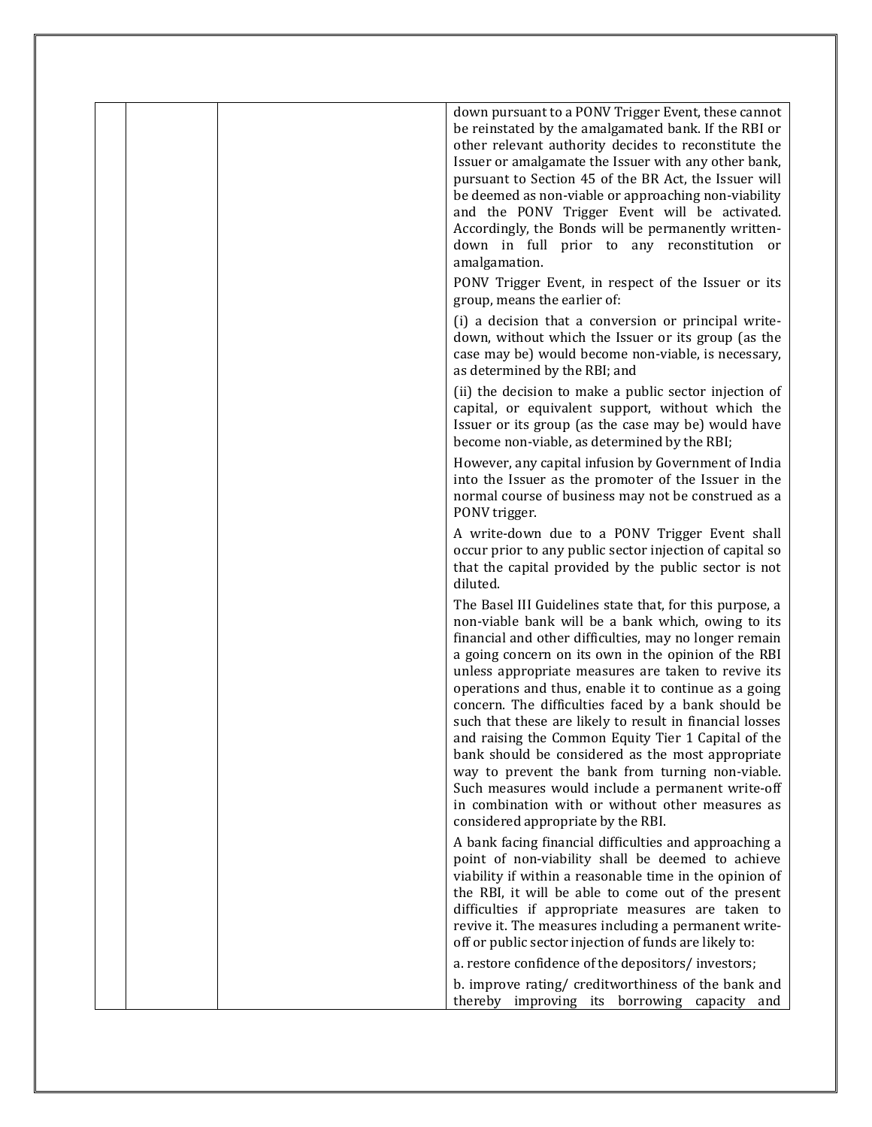|  |  | down pursuant to a PONV Trigger Event, these cannot<br>be reinstated by the amalgamated bank. If the RBI or<br>other relevant authority decides to reconstitute the<br>Issuer or amalgamate the Issuer with any other bank,<br>pursuant to Section 45 of the BR Act, the Issuer will<br>be deemed as non-viable or approaching non-viability<br>and the PONV Trigger Event will be activated.<br>Accordingly, the Bonds will be permanently written-<br>down in full prior to any reconstitution or<br>amalgamation.                                                                                                                                                                                                                                                               |
|--|--|------------------------------------------------------------------------------------------------------------------------------------------------------------------------------------------------------------------------------------------------------------------------------------------------------------------------------------------------------------------------------------------------------------------------------------------------------------------------------------------------------------------------------------------------------------------------------------------------------------------------------------------------------------------------------------------------------------------------------------------------------------------------------------|
|  |  | PONV Trigger Event, in respect of the Issuer or its<br>group, means the earlier of:                                                                                                                                                                                                                                                                                                                                                                                                                                                                                                                                                                                                                                                                                                |
|  |  | (i) a decision that a conversion or principal write-<br>down, without which the Issuer or its group (as the<br>case may be) would become non-viable, is necessary,<br>as determined by the RBI; and                                                                                                                                                                                                                                                                                                                                                                                                                                                                                                                                                                                |
|  |  | (ii) the decision to make a public sector injection of<br>capital, or equivalent support, without which the<br>Issuer or its group (as the case may be) would have<br>become non-viable, as determined by the RBI;                                                                                                                                                                                                                                                                                                                                                                                                                                                                                                                                                                 |
|  |  | However, any capital infusion by Government of India<br>into the Issuer as the promoter of the Issuer in the<br>normal course of business may not be construed as a<br>PONV trigger.                                                                                                                                                                                                                                                                                                                                                                                                                                                                                                                                                                                               |
|  |  | A write-down due to a PONV Trigger Event shall<br>occur prior to any public sector injection of capital so<br>that the capital provided by the public sector is not<br>diluted.                                                                                                                                                                                                                                                                                                                                                                                                                                                                                                                                                                                                    |
|  |  | The Basel III Guidelines state that, for this purpose, a<br>non-viable bank will be a bank which, owing to its<br>financial and other difficulties, may no longer remain<br>a going concern on its own in the opinion of the RBI<br>unless appropriate measures are taken to revive its<br>operations and thus, enable it to continue as a going<br>concern. The difficulties faced by a bank should be<br>such that these are likely to result in financial losses<br>and raising the Common Equity Tier 1 Capital of the<br>bank should be considered as the most appropriate<br>way to prevent the bank from turning non-viable.<br>Such measures would include a permanent write-off<br>in combination with or without other measures as<br>considered appropriate by the RBI. |
|  |  | A bank facing financial difficulties and approaching a<br>point of non-viability shall be deemed to achieve<br>viability if within a reasonable time in the opinion of<br>the RBI, it will be able to come out of the present<br>difficulties if appropriate measures are taken to<br>revive it. The measures including a permanent write-<br>off or public sector injection of funds are likely to:                                                                                                                                                                                                                                                                                                                                                                               |
|  |  | a. restore confidence of the depositors/investors;<br>b. improve rating/ creditworthiness of the bank and<br>thereby improving its borrowing capacity and                                                                                                                                                                                                                                                                                                                                                                                                                                                                                                                                                                                                                          |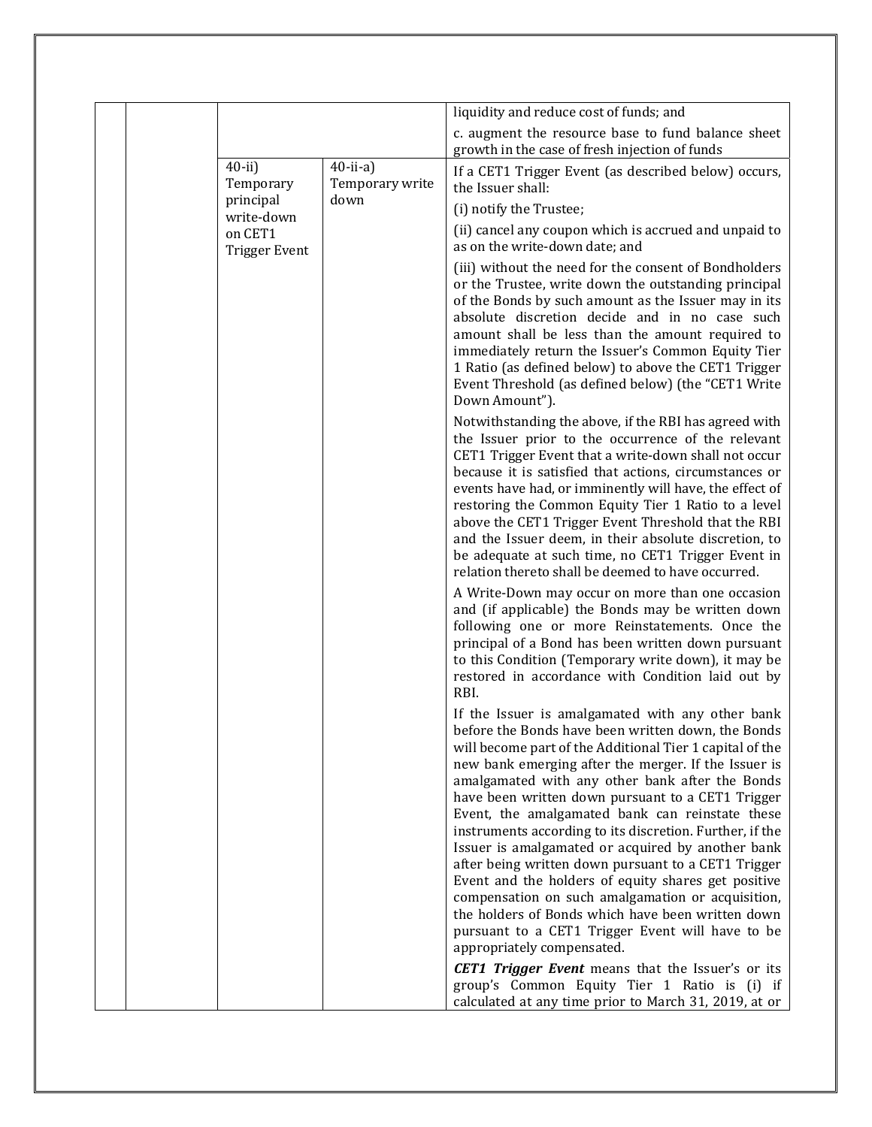|  |                                 |                                | liquidity and reduce cost of funds; and                                                                                                                                                                                                                                                                                                                                                   |
|--|---------------------------------|--------------------------------|-------------------------------------------------------------------------------------------------------------------------------------------------------------------------------------------------------------------------------------------------------------------------------------------------------------------------------------------------------------------------------------------|
|  |                                 |                                | c. augment the resource base to fund balance sheet<br>growth in the case of fresh injection of funds                                                                                                                                                                                                                                                                                      |
|  | $40$ -ii)<br>Temporary          | $40$ -ii-a)<br>Temporary write | If a CET1 Trigger Event (as described below) occurs,<br>the Issuer shall:                                                                                                                                                                                                                                                                                                                 |
|  | principal<br>write-down         | down                           | (i) notify the Trustee;                                                                                                                                                                                                                                                                                                                                                                   |
|  | on CET1<br><b>Trigger Event</b> |                                | (ii) cancel any coupon which is accrued and unpaid to<br>as on the write-down date; and                                                                                                                                                                                                                                                                                                   |
|  |                                 |                                | (iii) without the need for the consent of Bondholders<br>or the Trustee, write down the outstanding principal<br>of the Bonds by such amount as the Issuer may in its<br>absolute discretion decide and in no case such<br>amount shall be less than the amount required to                                                                                                               |
|  |                                 |                                | immediately return the Issuer's Common Equity Tier<br>1 Ratio (as defined below) to above the CET1 Trigger<br>Event Threshold (as defined below) (the "CET1 Write<br>Down Amount").                                                                                                                                                                                                       |
|  |                                 |                                | Notwithstanding the above, if the RBI has agreed with<br>the Issuer prior to the occurrence of the relevant<br>CET1 Trigger Event that a write-down shall not occur<br>because it is satisfied that actions, circumstances or                                                                                                                                                             |
|  |                                 |                                | events have had, or imminently will have, the effect of<br>restoring the Common Equity Tier 1 Ratio to a level<br>above the CET1 Trigger Event Threshold that the RBI<br>and the Issuer deem, in their absolute discretion, to<br>be adequate at such time, no CET1 Trigger Event in<br>relation thereto shall be deemed to have occurred.                                                |
|  |                                 |                                | A Write-Down may occur on more than one occasion<br>and (if applicable) the Bonds may be written down<br>following one or more Reinstatements. Once the<br>principal of a Bond has been written down pursuant<br>to this Condition (Temporary write down), it may be<br>restored in accordance with Condition laid out by<br>RBI.                                                         |
|  |                                 |                                | If the Issuer is amalgamated with any other bank<br>before the Bonds have been written down, the Bonds<br>will become part of the Additional Tier 1 capital of the<br>new bank emerging after the merger. If the Issuer is<br>amalgamated with any other bank after the Bonds<br>have been written down pursuant to a CET1 Trigger<br>Event, the amalgamated bank can reinstate these     |
|  |                                 |                                | instruments according to its discretion. Further, if the<br>Issuer is amalgamated or acquired by another bank<br>after being written down pursuant to a CET1 Trigger<br>Event and the holders of equity shares get positive<br>compensation on such amalgamation or acquisition,<br>the holders of Bonds which have been written down<br>pursuant to a CET1 Trigger Event will have to be |
|  |                                 |                                | appropriately compensated.<br><b>CET1 Trigger Event</b> means that the Issuer's or its<br>group's Common Equity Tier 1 Ratio is (i) if<br>calculated at any time prior to March 31, 2019, at or                                                                                                                                                                                           |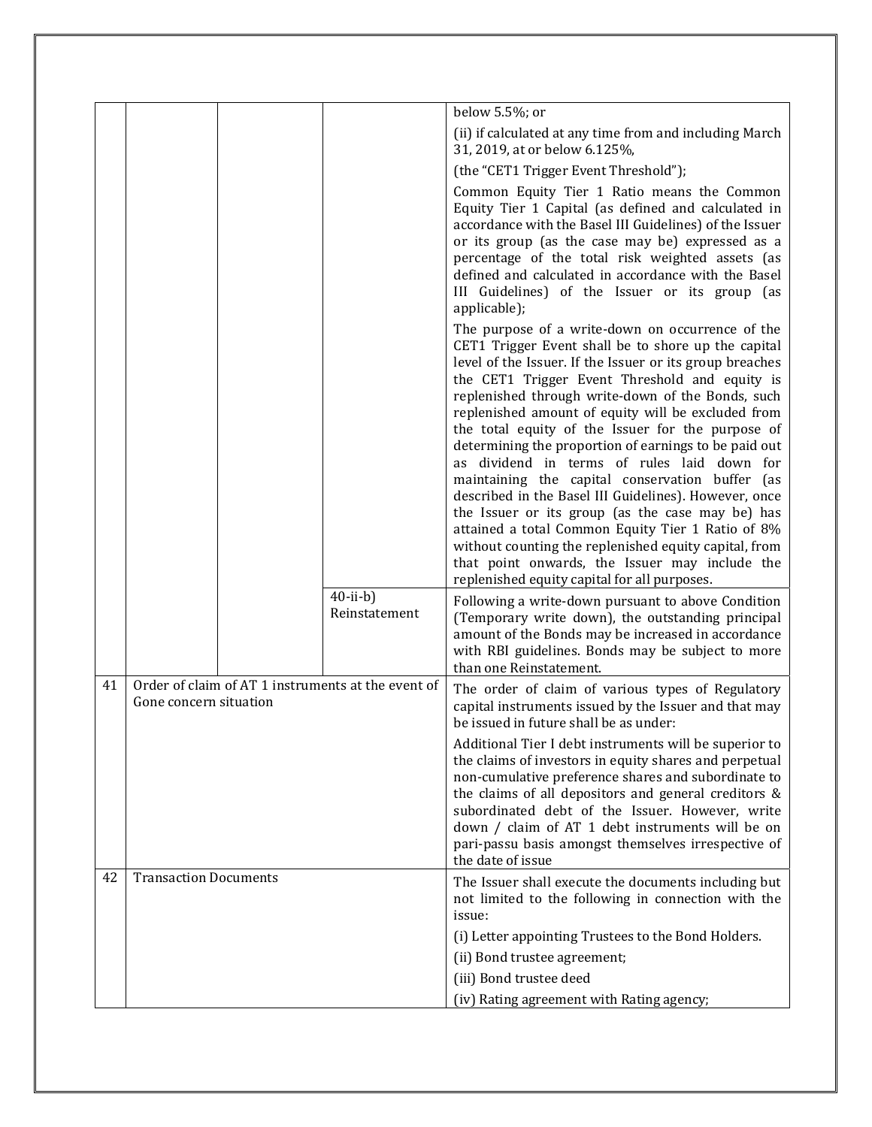|    |                                                                              |                                 | below 5.5%; or                                                                                                                                                                                                                                                                                                                                                                                                                                                                                                                                                                                                                                                                                                                                                                                                                                                                |
|----|------------------------------------------------------------------------------|---------------------------------|-------------------------------------------------------------------------------------------------------------------------------------------------------------------------------------------------------------------------------------------------------------------------------------------------------------------------------------------------------------------------------------------------------------------------------------------------------------------------------------------------------------------------------------------------------------------------------------------------------------------------------------------------------------------------------------------------------------------------------------------------------------------------------------------------------------------------------------------------------------------------------|
|    |                                                                              |                                 | (ii) if calculated at any time from and including March<br>31, 2019, at or below 6.125%,                                                                                                                                                                                                                                                                                                                                                                                                                                                                                                                                                                                                                                                                                                                                                                                      |
|    |                                                                              |                                 | (the "CET1 Trigger Event Threshold");                                                                                                                                                                                                                                                                                                                                                                                                                                                                                                                                                                                                                                                                                                                                                                                                                                         |
|    |                                                                              |                                 | Common Equity Tier 1 Ratio means the Common<br>Equity Tier 1 Capital (as defined and calculated in<br>accordance with the Basel III Guidelines) of the Issuer<br>or its group (as the case may be) expressed as a<br>percentage of the total risk weighted assets (as<br>defined and calculated in accordance with the Basel<br>III Guidelines) of the Issuer or its group (as<br>applicable);                                                                                                                                                                                                                                                                                                                                                                                                                                                                                |
|    |                                                                              |                                 | The purpose of a write-down on occurrence of the<br>CET1 Trigger Event shall be to shore up the capital<br>level of the Issuer. If the Issuer or its group breaches<br>the CET1 Trigger Event Threshold and equity is<br>replenished through write-down of the Bonds, such<br>replenished amount of equity will be excluded from<br>the total equity of the Issuer for the purpose of<br>determining the proportion of earnings to be paid out<br>as dividend in terms of rules laid down for<br>maintaining the capital conservation buffer (as<br>described in the Basel III Guidelines). However, once<br>the Issuer or its group (as the case may be) has<br>attained a total Common Equity Tier 1 Ratio of 8%<br>without counting the replenished equity capital, from<br>that point onwards, the Issuer may include the<br>replenished equity capital for all purposes. |
|    |                                                                              | $40$ -ii-b $)$<br>Reinstatement | Following a write-down pursuant to above Condition<br>(Temporary write down), the outstanding principal<br>amount of the Bonds may be increased in accordance<br>with RBI guidelines. Bonds may be subject to more<br>than one Reinstatement.                                                                                                                                                                                                                                                                                                                                                                                                                                                                                                                                                                                                                                 |
| 41 | Order of claim of AT 1 instruments at the event of<br>Gone concern situation |                                 | The order of claim of various types of Regulatory<br>capital instruments issued by the Issuer and that may<br>be issued in future shall be as under:                                                                                                                                                                                                                                                                                                                                                                                                                                                                                                                                                                                                                                                                                                                          |
|    |                                                                              |                                 | Additional Tier I debt instruments will be superior to<br>the claims of investors in equity shares and perpetual<br>non-cumulative preference shares and subordinate to<br>the claims of all depositors and general creditors &<br>subordinated debt of the Issuer. However, write<br>down / claim of AT 1 debt instruments will be on<br>pari-passu basis amongst themselves irrespective of<br>the date of issue                                                                                                                                                                                                                                                                                                                                                                                                                                                            |
| 42 | <b>Transaction Documents</b>                                                 |                                 | The Issuer shall execute the documents including but<br>not limited to the following in connection with the<br>issue:                                                                                                                                                                                                                                                                                                                                                                                                                                                                                                                                                                                                                                                                                                                                                         |
|    |                                                                              |                                 | (i) Letter appointing Trustees to the Bond Holders.                                                                                                                                                                                                                                                                                                                                                                                                                                                                                                                                                                                                                                                                                                                                                                                                                           |
|    |                                                                              |                                 | (ii) Bond trustee agreement;<br>(iii) Bond trustee deed                                                                                                                                                                                                                                                                                                                                                                                                                                                                                                                                                                                                                                                                                                                                                                                                                       |
|    |                                                                              |                                 | (iv) Rating agreement with Rating agency;                                                                                                                                                                                                                                                                                                                                                                                                                                                                                                                                                                                                                                                                                                                                                                                                                                     |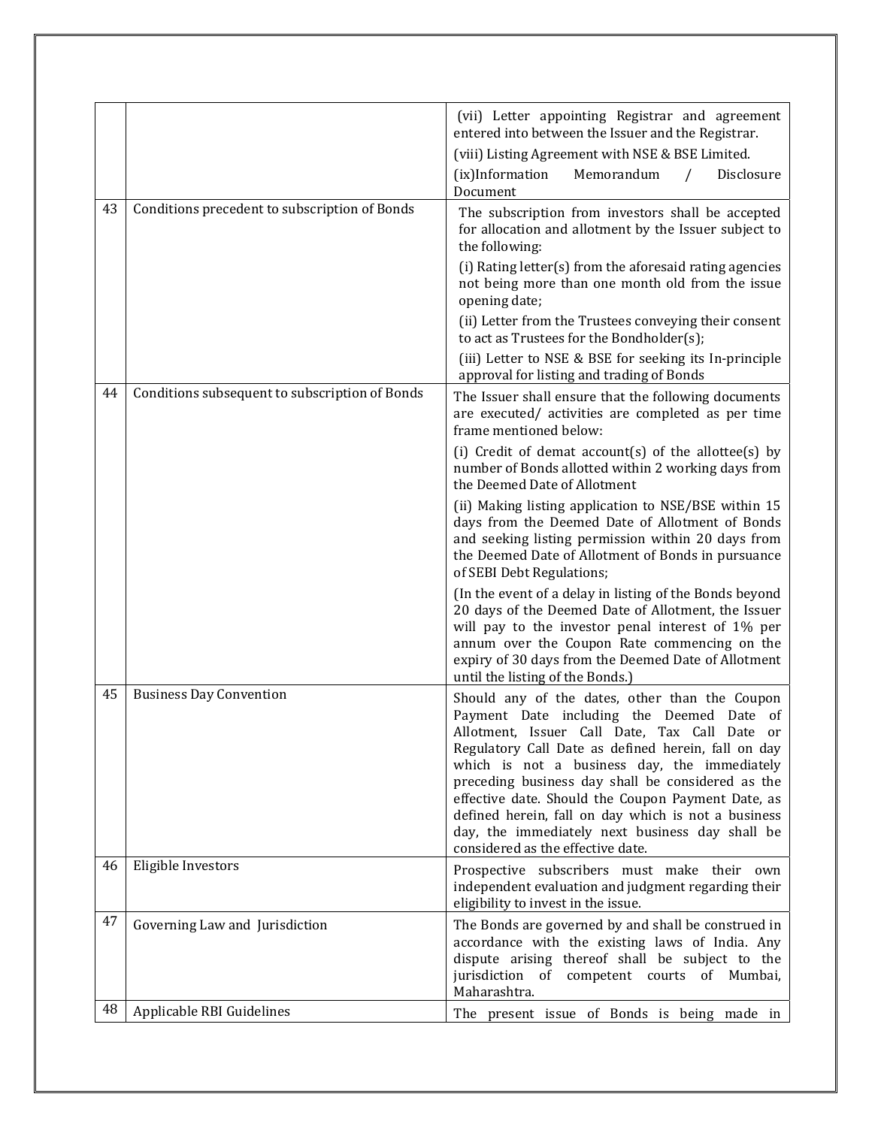|    |                                                | (vii) Letter appointing Registrar and agreement<br>entered into between the Issuer and the Registrar.                                                                                                                                                                                                                                                                                                                                                                                                            |
|----|------------------------------------------------|------------------------------------------------------------------------------------------------------------------------------------------------------------------------------------------------------------------------------------------------------------------------------------------------------------------------------------------------------------------------------------------------------------------------------------------------------------------------------------------------------------------|
|    |                                                | (viii) Listing Agreement with NSE & BSE Limited.                                                                                                                                                                                                                                                                                                                                                                                                                                                                 |
|    |                                                | (ix)Information<br>Memorandum<br>Disclosure<br>Document                                                                                                                                                                                                                                                                                                                                                                                                                                                          |
| 43 | Conditions precedent to subscription of Bonds  | The subscription from investors shall be accepted<br>for allocation and allotment by the Issuer subject to<br>the following:                                                                                                                                                                                                                                                                                                                                                                                     |
|    |                                                | (i) Rating letter(s) from the aforesaid rating agencies<br>not being more than one month old from the issue<br>opening date;                                                                                                                                                                                                                                                                                                                                                                                     |
|    |                                                | (ii) Letter from the Trustees conveying their consent<br>to act as Trustees for the Bondholder(s);                                                                                                                                                                                                                                                                                                                                                                                                               |
|    |                                                | (iii) Letter to NSE & BSE for seeking its In-principle<br>approval for listing and trading of Bonds                                                                                                                                                                                                                                                                                                                                                                                                              |
| 44 | Conditions subsequent to subscription of Bonds | The Issuer shall ensure that the following documents<br>are executed/ activities are completed as per time<br>frame mentioned below:                                                                                                                                                                                                                                                                                                                                                                             |
|    |                                                | (i) Credit of demat account(s) of the allottee(s) by<br>number of Bonds allotted within 2 working days from<br>the Deemed Date of Allotment                                                                                                                                                                                                                                                                                                                                                                      |
|    |                                                | (ii) Making listing application to NSE/BSE within 15<br>days from the Deemed Date of Allotment of Bonds<br>and seeking listing permission within 20 days from<br>the Deemed Date of Allotment of Bonds in pursuance<br>of SEBI Debt Regulations;                                                                                                                                                                                                                                                                 |
|    |                                                | (In the event of a delay in listing of the Bonds beyond<br>20 days of the Deemed Date of Allotment, the Issuer<br>will pay to the investor penal interest of 1% per<br>annum over the Coupon Rate commencing on the<br>expiry of 30 days from the Deemed Date of Allotment<br>until the listing of the Bonds.)                                                                                                                                                                                                   |
| 45 | <b>Business Day Convention</b>                 | Should any of the dates, other than the Coupon<br>Payment Date including the Deemed Date of<br>Allotment, Issuer Call Date, Tax Call Date<br>or<br>Regulatory Call Date as defined herein, fall on day<br>which is not a business day, the immediately<br>preceding business day shall be considered as the<br>effective date. Should the Coupon Payment Date, as<br>defined herein, fall on day which is not a business<br>day, the immediately next business day shall be<br>considered as the effective date. |
| 46 | Eligible Investors                             | Prospective subscribers must make their own<br>independent evaluation and judgment regarding their<br>eligibility to invest in the issue.                                                                                                                                                                                                                                                                                                                                                                        |
| 47 | Governing Law and Jurisdiction                 | The Bonds are governed by and shall be construed in<br>accordance with the existing laws of India. Any<br>dispute arising thereof shall be subject to the<br>jurisdiction of competent courts of Mumbai,<br>Maharashtra.                                                                                                                                                                                                                                                                                         |
| 48 | Applicable RBI Guidelines                      | The present issue of Bonds is being made in                                                                                                                                                                                                                                                                                                                                                                                                                                                                      |